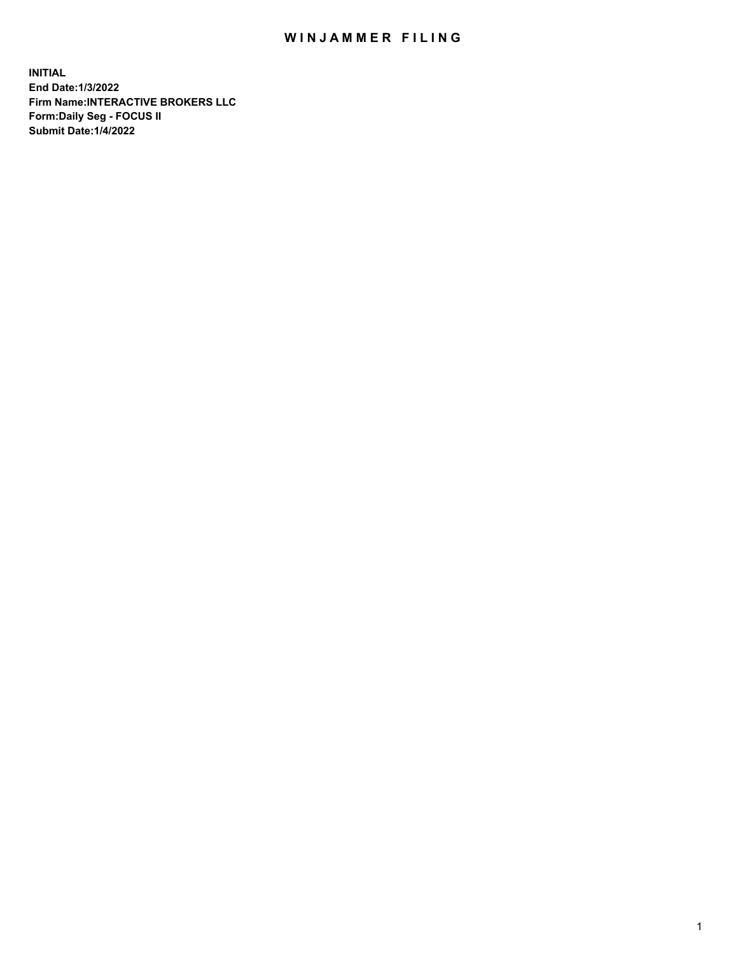## WIN JAMMER FILING

**INITIAL End Date:1/3/2022 Firm Name:INTERACTIVE BROKERS LLC Form:Daily Seg - FOCUS II Submit Date:1/4/2022**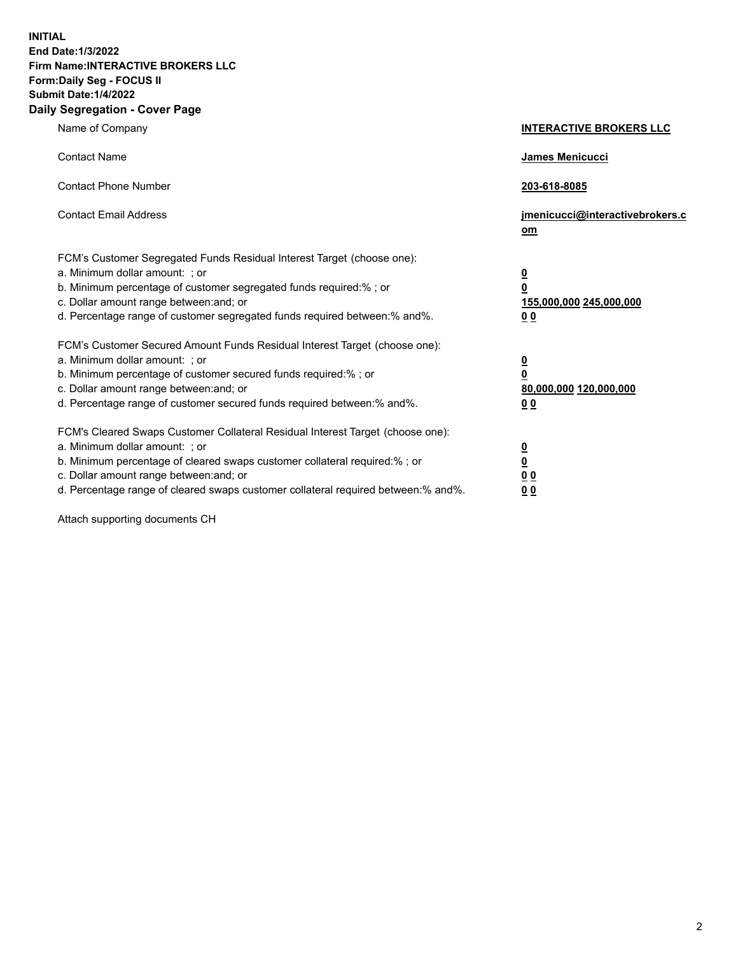**INITIAL End Date:1/3/2022 Firm Name:INTERACTIVE BROKERS LLC Form:Daily Seg - FOCUS II Submit Date:1/4/2022 Daily Segregation - Cover Page**

| Name of Company                                                                                                                                                                                                                                                                                                                | <b>INTERACTIVE BROKERS LLC</b>                                                                  |
|--------------------------------------------------------------------------------------------------------------------------------------------------------------------------------------------------------------------------------------------------------------------------------------------------------------------------------|-------------------------------------------------------------------------------------------------|
| <b>Contact Name</b>                                                                                                                                                                                                                                                                                                            | <b>James Menicucci</b>                                                                          |
| <b>Contact Phone Number</b>                                                                                                                                                                                                                                                                                                    | 203-618-8085                                                                                    |
| <b>Contact Email Address</b>                                                                                                                                                                                                                                                                                                   | jmenicucci@interactivebrokers.c<br>om                                                           |
| FCM's Customer Segregated Funds Residual Interest Target (choose one):<br>a. Minimum dollar amount: ; or<br>b. Minimum percentage of customer segregated funds required:% ; or<br>c. Dollar amount range between: and; or<br>d. Percentage range of customer segregated funds required between:% and%.                         | $\overline{\mathbf{0}}$<br>$\overline{\mathbf{0}}$<br>155,000,000 245,000,000<br>0 <sub>0</sub> |
| FCM's Customer Secured Amount Funds Residual Interest Target (choose one):<br>a. Minimum dollar amount: ; or<br>b. Minimum percentage of customer secured funds required:%; or<br>c. Dollar amount range between: and; or<br>d. Percentage range of customer secured funds required between:% and%.                            | $\overline{\mathbf{0}}$<br>$\mathbf 0$<br>80,000,000 120,000,000<br>0 <sub>0</sub>              |
| FCM's Cleared Swaps Customer Collateral Residual Interest Target (choose one):<br>a. Minimum dollar amount: ; or<br>b. Minimum percentage of cleared swaps customer collateral required:% ; or<br>c. Dollar amount range between: and; or<br>d. Percentage range of cleared swaps customer collateral required between:% and%. | $\overline{\mathbf{0}}$<br>$\underline{\mathbf{0}}$<br>0 <sub>0</sub><br>0 <sub>0</sub>         |

Attach supporting documents CH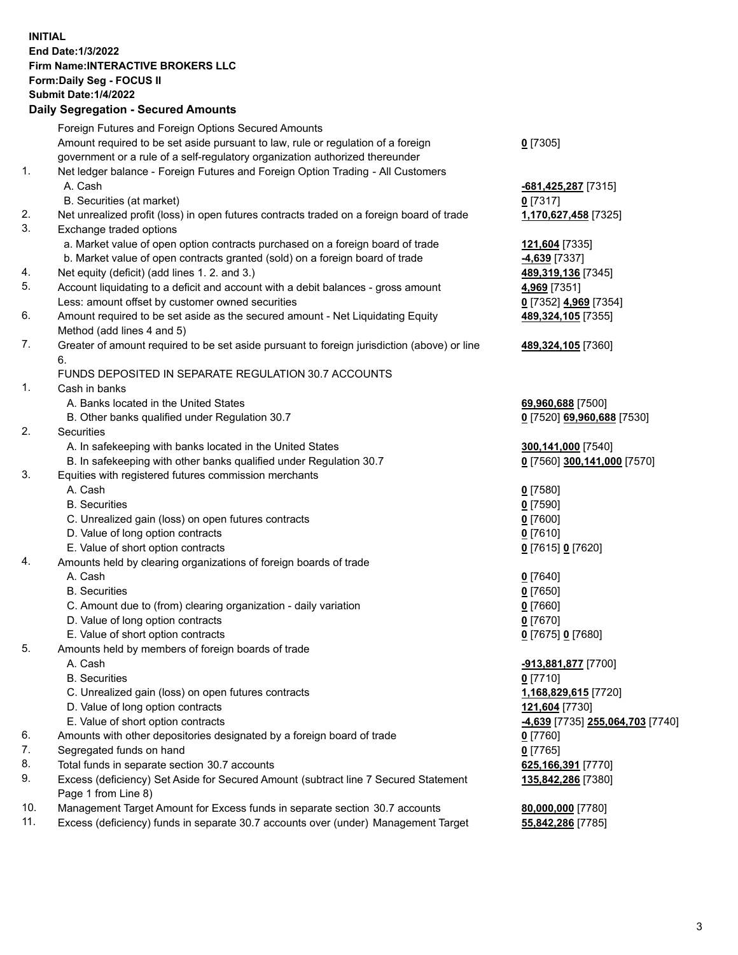**INITIAL End Date:1/3/2022 Firm Name:INTERACTIVE BROKERS LLC Form:Daily Seg - FOCUS II Submit Date:1/4/2022 Daily Segregation - Secured Amounts**

|     | Pany Ocgi cgation - Occarca Anioante                                                        |                                               |
|-----|---------------------------------------------------------------------------------------------|-----------------------------------------------|
|     | Foreign Futures and Foreign Options Secured Amounts                                         |                                               |
|     | Amount required to be set aside pursuant to law, rule or regulation of a foreign            | $0$ [7305]                                    |
|     | government or a rule of a self-regulatory organization authorized thereunder                |                                               |
| 1.  | Net ledger balance - Foreign Futures and Foreign Option Trading - All Customers             |                                               |
|     | A. Cash                                                                                     | -681,425,287 [7315]                           |
|     | B. Securities (at market)                                                                   | $0$ [7317]                                    |
| 2.  | Net unrealized profit (loss) in open futures contracts traded on a foreign board of trade   | 1,170,627,458 [7325]                          |
| 3.  | Exchange traded options                                                                     |                                               |
|     | a. Market value of open option contracts purchased on a foreign board of trade              | 121,604 [7335]                                |
|     | b. Market value of open contracts granted (sold) on a foreign board of trade                | -4,639 [7337]                                 |
| 4.  | Net equity (deficit) (add lines 1. 2. and 3.)                                               | 489,319,136 [7345]                            |
| 5.  | Account liquidating to a deficit and account with a debit balances - gross amount           | 4,969 [7351]                                  |
|     | Less: amount offset by customer owned securities                                            | 0 [7352] 4,969 [7354]                         |
| 6.  | Amount required to be set aside as the secured amount - Net Liquidating Equity              | 489,324,105 [7355]                            |
|     | Method (add lines 4 and 5)                                                                  |                                               |
| 7.  | Greater of amount required to be set aside pursuant to foreign jurisdiction (above) or line | 489,324,105 [7360]                            |
|     | 6.                                                                                          |                                               |
|     | FUNDS DEPOSITED IN SEPARATE REGULATION 30.7 ACCOUNTS                                        |                                               |
| 1.  | Cash in banks                                                                               |                                               |
|     | A. Banks located in the United States                                                       | 69,960,688 [7500]                             |
|     | B. Other banks qualified under Regulation 30.7                                              | 0 [7520] 69,960,688 [7530]                    |
| 2.  | Securities                                                                                  |                                               |
|     | A. In safekeeping with banks located in the United States                                   | 300,141,000 [7540]                            |
|     | B. In safekeeping with other banks qualified under Regulation 30.7                          | 0 [7560] 300,141,000 [7570]                   |
| 3.  | Equities with registered futures commission merchants                                       |                                               |
|     | A. Cash                                                                                     | $0$ [7580]                                    |
|     | <b>B.</b> Securities                                                                        | $0$ [7590]                                    |
|     | C. Unrealized gain (loss) on open futures contracts                                         | $0$ [7600]                                    |
|     | D. Value of long option contracts                                                           | $0$ [7610]                                    |
|     | E. Value of short option contracts                                                          | 0 [7615] 0 [7620]                             |
| 4.  | Amounts held by clearing organizations of foreign boards of trade                           |                                               |
|     | A. Cash                                                                                     | $0$ [7640]                                    |
|     | <b>B.</b> Securities                                                                        | $0$ [7650]                                    |
|     | C. Amount due to (from) clearing organization - daily variation                             | $0$ [7660]                                    |
|     | D. Value of long option contracts                                                           | $0$ [7670]                                    |
|     | E. Value of short option contracts                                                          | 0 [7675] 0 [7680]                             |
| 5.  | Amounts held by members of foreign boards of trade                                          |                                               |
|     | A. Cash                                                                                     | -913,881,877 [7700]                           |
|     | <b>B.</b> Securities                                                                        | $0$ [7710]                                    |
|     | C. Unrealized gain (loss) on open futures contracts                                         | 1,168,829,615 [7720]                          |
|     | D. Value of long option contracts                                                           | 121,604 [7730]                                |
|     | E. Value of short option contracts                                                          | <mark>-4,639</mark> [7735] 255,064,703 [7740] |
| 6.  | Amounts with other depositories designated by a foreign board of trade                      | 0 [7760]                                      |
| 7.  | Segregated funds on hand                                                                    | $0$ [7765]                                    |
| 8.  | Total funds in separate section 30.7 accounts                                               | 625,166,391 [7770]                            |
| 9.  | Excess (deficiency) Set Aside for Secured Amount (subtract line 7 Secured Statement         | 135,842,286 [7380]                            |
|     | Page 1 from Line 8)                                                                         |                                               |
| 10. | Management Target Amount for Excess funds in separate section 30.7 accounts                 | 80,000,000 [7780]                             |
| 11. | Excess (deficiency) funds in separate 30.7 accounts over (under) Management Target          | 55,842,286 [7785]                             |
|     |                                                                                             |                                               |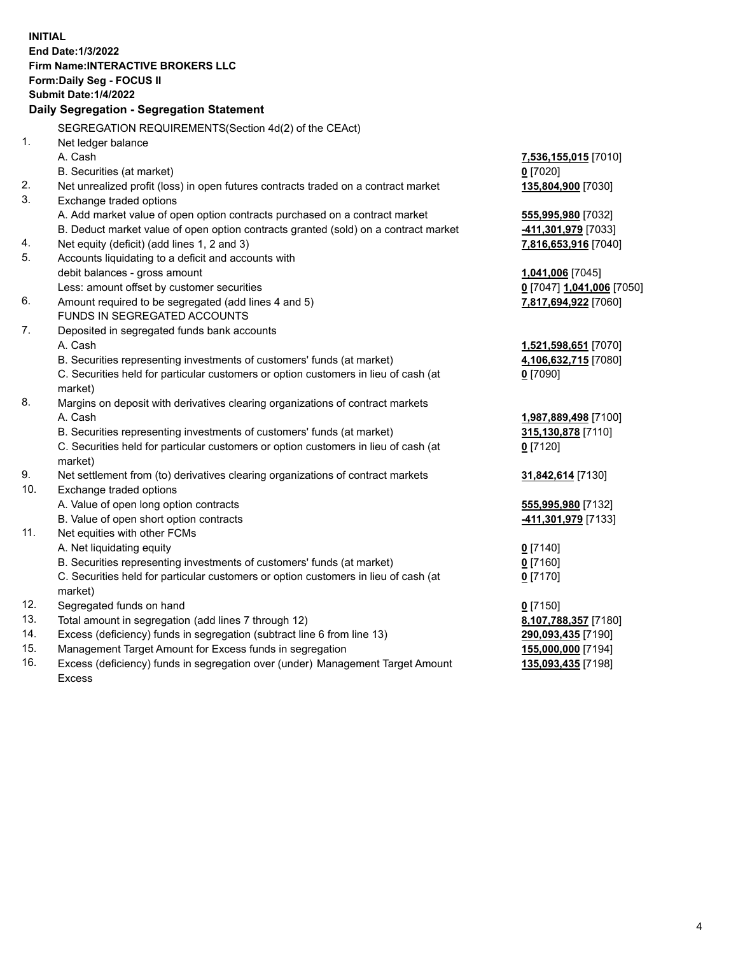**INITIAL End Date:1/3/2022 Firm Name:INTERACTIVE BROKERS LLC Form:Daily Seg - FOCUS II Submit Date:1/4/2022 Daily Segregation - Segregation Statement** SEGREGATION REQUIREMENTS(Section 4d(2) of the CEAct) 1. Net ledger balance A. Cash **7,536,155,015** [7010] B. Securities (at market) **0** [7020] 2. Net unrealized profit (loss) in open futures contracts traded on a contract market **135,804,900** [7030] 3. Exchange traded options A. Add market value of open option contracts purchased on a contract market **555,995,980** [7032] B. Deduct market value of open option contracts granted (sold) on a contract market **-411,301,979** [7033] 4. Net equity (deficit) (add lines 1, 2 and 3) **7,816,653,916** [7040] 5. Accounts liquidating to a deficit and accounts with debit balances - gross amount **1,041,006** [7045] Less: amount offset by customer securities **0** [7047] **1,041,006** [7050] 6. Amount required to be segregated (add lines 4 and 5) **7,817,694,922** [7060] FUNDS IN SEGREGATED ACCOUNTS 7. Deposited in segregated funds bank accounts A. Cash **1,521,598,651** [7070] B. Securities representing investments of customers' funds (at market) **4,106,632,715** [7080] C. Securities held for particular customers or option customers in lieu of cash (at market) **0** [7090] 8. Margins on deposit with derivatives clearing organizations of contract markets A. Cash **1,987,889,498** [7100] B. Securities representing investments of customers' funds (at market) **315,130,878** [7110] C. Securities held for particular customers or option customers in lieu of cash (at market) **0** [7120] 9. Net settlement from (to) derivatives clearing organizations of contract markets **31,842,614** [7130] 10. Exchange traded options A. Value of open long option contracts **555,995,980** [7132] B. Value of open short option contracts **-411,301,979** [7133] 11. Net equities with other FCMs A. Net liquidating equity **0** [7140] B. Securities representing investments of customers' funds (at market) **0** [7160] C. Securities held for particular customers or option customers in lieu of cash (at market) **0** [7170] 12. Segregated funds on hand **0** [7150] 13. Total amount in segregation (add lines 7 through 12) **8,107,788,357** [7180] 14. Excess (deficiency) funds in segregation (subtract line 6 from line 13) **290,093,435** [7190] 15. Management Target Amount for Excess funds in segregation **155,000,000** [7194] 16. Excess (deficiency) funds in segregation over (under) Management Target Amount Excess **135,093,435** [7198]